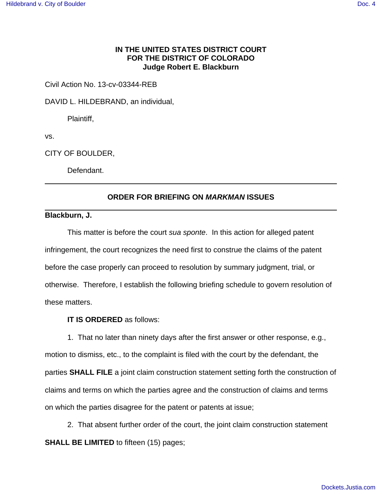## **IN THE UNITED STATES DISTRICT COURT FOR THE DISTRICT OF COLORADO Judge Robert E. Blackburn**

Civil Action No. 13-cv-03344-REB

DAVID L. HILDEBRAND, an individual,

Plaintiff,

vs.

CITY OF BOULDER,

Defendant.

## **ORDER FOR BRIEFING ON MARKMAN ISSUES**

**Blackburn, J.**

This matter is before the court sua sponte. In this action for alleged patent infringement, the court recognizes the need first to construe the claims of the patent before the case properly can proceed to resolution by summary judgment, trial, or otherwise. Therefore, I establish the following briefing schedule to govern resolution of these matters.

**IT IS ORDERED** as follows:

1. That no later than ninety days after the first answer or other response, e.g., motion to dismiss, etc., to the complaint is filed with the court by the defendant, the parties **SHALL FILE** a joint claim construction statement setting forth the construction of claims and terms on which the parties agree and the construction of claims and terms on which the parties disagree for the patent or patents at issue;

2. That absent further order of the court, the joint claim construction statement **SHALL BE LIMITED** to fifteen (15) pages;